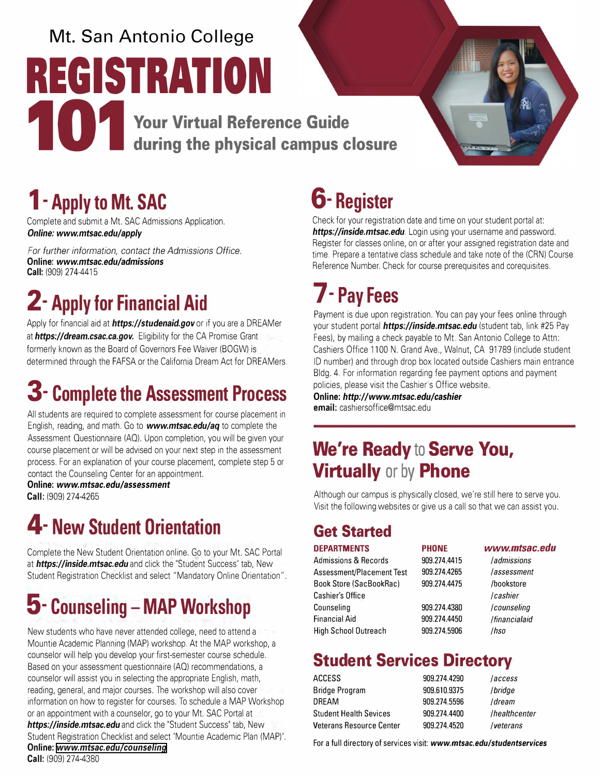# **Mt. San Antonio College REGISTRATION 101 <b>b** Your Virtual Reference Guide<br>during the physical campus c **during the physical campus closure**



### **1- Apply to Mt. SAC**

Complete and submit a Mt. SAC Admissions Application. *Online: <www.mtsac.edu/apply>*

*For further information, contact the Admissions Office.*  **Online:** *<www.mtsac.edu/admissions>* **Call:** (909) 274-4415

## **2- Apply for Financial Aid**

Apply for financial aid at *https://studenaid.gov* or if you are a DREAMer at *[https;//dream.csac.ca.gov.](https://dream.csac.ca.gov)* Eligibility for the CA Promise Grant formerly known as the Board of Governors Fee Waiver (BOGW) is determined through the FAFSA or the California Dream Act for DREAMers.

### **3- Complete the Assessment Process**

All students are required to complete assessment for course placement in English, reading, and math. Go to *<www.mtsac.edu/aq>*to complete the Assessment Questionnaire (AO). Upon completion, you will be given your course placement or will be advised on your next step in the assessment process. For an explanation of your course placement, complete step 5 or contact the Counseling Center for an appointment.

**Online:** *<www.mtsac.edu/assessment>* **Call:** (909) 274-4265

### **4- New Student Orientation**

Complete the New Student Orientation online. Go to your Mt. SAC Portal at *[https;//inside.mtsac.edu](https://inside.mtsac.edu)* and click the "Student Success" tab, New Student Registration Checklist and select "Mandatory Online Orientation".

### **5- Counseling - MAP Workshop**

New students who have never attended college, need to attend a Mountie Academic Planning (MAP) workshop. At the MAP workshop, a counselor will help you develop your first-semester course schedule. Based on your assessment questionnaire (AO) recommendations, a counselor will assist you in selecting the appropriate English, math, reading, general, and major courses. The workshop will also cover information on how to register for courses. To schedule a MAP Workshop or an appointment with a counselor, go to your Mt. SAC Portal at *[https;//inside.mtsac.edu](https://inside.mtsac.edu)* and click the "Student Success" tab, New Student [Registration Checklist and select "M](www.mtsac.edu/counse/ing)ountie Academic Plan (MAP)". **Online:** *[www.mtsac.edu/counse/ing](https://www.mtsac.edu/counseling)*  **Call:** (909) 274-4380

## **6- Register**

Check for your registration date and time on your student portal at: *[https;//inside.mtsac.edu.](https://inside.mtsac.edu)* Login using your username and password. Register for classes online, on or after your assigned registration date and time. Prepare a tentative class schedule and take note of the (CRN) Course Reference Number. Check for course prerequisites and corequisites.

## **7- Pay Fees**

Payment is due upon registration. You can pay your fees online through your student portal *[https;//inside.mtsac.edu](https://inside.mtsac.edu)* (student tab, link #25 Pay Fees), by mailing a check payable to Mt. San Antonio College to Attn: Cashiers Office 1100 N. Grand Ave., Walnut, CA 91789 (include student ID number) and through drop box located outside Cashiers main entrance Bldg. 4. For information regarding fee payment options and payment policies, please visit the Cashier's Office website.

**Online:** *<http://www.mtsac.edu/cashier>* **email:** [cashiersoffice@mtsac.edu](mailto:cashiersoffice@mtsac.edu) 

### **We're Ready to Serve You, Virtually or by Phone**

Although our campus is physically closed, we're still here to serve you. Visit the following websites or give us a call so that we can assist you.

### **Get Started**

| <b>DEPARTMENTS</b>              | <b>PHONE</b> |
|---------------------------------|--------------|
| <b>Admissions &amp; Records</b> | 909.274.4415 |
| Assessment/Placement Test       | 909.274.4265 |
| <b>Book Store (SacBookRac)</b>  | 909.274.4475 |
| <b>Cashier's Office</b>         |              |
| Counseling                      | 909.274.4380 |
| <b>Financial Aid</b>            | 909.274.4450 |
| <b>High School Outreach</b>     | 909.274.5906 |

### **Student Services Directory**

| ACCESS                        | 909.274.4290 | <i>laccess</i> |
|-------------------------------|--------------|----------------|
| Bridge Program                | 909.610.9375 | /bridge        |
| DRFAM                         | 909.274.5596 | /dream         |
| <b>Student Health Sevices</b> | 909.274.4400 | /healthcenter  |
| Veterans Resource Center      | 909.274.4520 | /veterans      |

For a full directory of services visit: *<www.mtsac.edu/studentservices>*

#### **DEPARTMENTS PHONE** *<www.mtsac.edu>*

Admissions & Records 909.274.4415 *I admissions*  Assessment/Placement Test 909.274.4265 *I assessment*  1.4475 /bookstore */cashier I counseling /financialaid /hso*